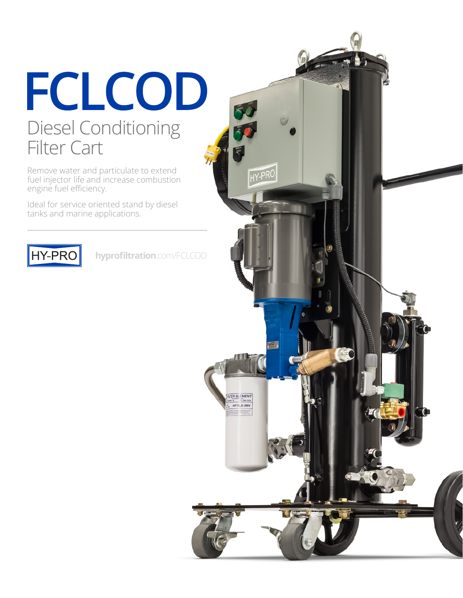### FCLCOD Diesel Conditioning Filter Cart

Remove water and particulate to extend fuel injector life and increase combustion engine fuel efficiency.

Ideal for service oriented stand by diesel tanks and marine applications.



**hyprofiltration**.com/FCLCOD

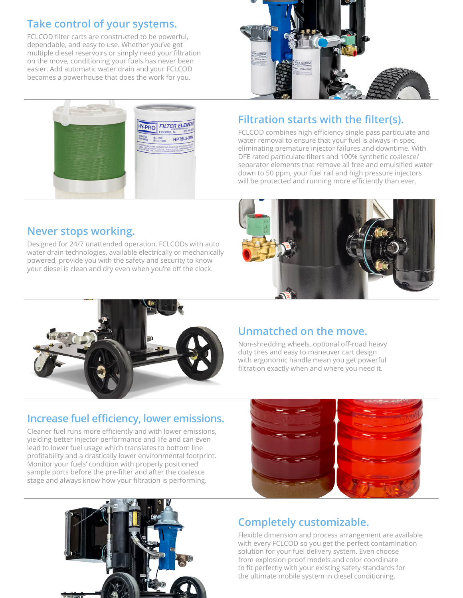#### **Take control of your systems.**

FCLCOD filter carts are constructed to be powerful, dependable, and easy to use. Whether you've got multiple diesel reservoirs or simply need your filtration on the move, conditioning your fuels has never been easier. Add automatic water drain and your FCLCOD becomes a powerhouse that does the work for you.





#### **Filtration starts with the filter(s).**

FCLCOD combines high efficiency single pass particulate and water removal to ensure that your fuel is always in spec, eliminating premature injector failures and downtime. With DFE rated particulate filters and 100% synthetic coalesce/ separator elements that remove all free and emulsified water down to 50 ppm, your fuel rail and high pressure injectors will be protected and running more efficiently than ever.

#### **Never stops working.**

Designed for 24/7 unattended operation, FCLCODs with auto water drain technologies, available electrically or mechanically powered, provide you with the safety and security to know your diesel is clean and dry even when you're off the clock.





#### **Unmatched on the move.**

Non-shredding wheels, optional off-road heavy duty tires and easy to maneuver cart design with ergonomic handle mean you get powerful filtration exactly when and where you need it.

#### **Increase fuel efficiency, lower emissions.**

Cleaner fuel runs more efficiently and with lower emissions, yielding better injector performance and life and can even lead to lower fuel usage which translates to bottom line profitability and a drastically lower environmental footprint. Monitor your fuels' condition with properly positioned sample ports before the pre-filter and after the coalesce stage and always know how your filtration is performing.





### **Completely customizable.**

Flexible dimension and process arrangement are available with every FCLCOD so you get the perfect contamination solution for your fuel delivery system. Even choose from explosion proof models and color coordinate to fit perfectly with your existing safety standards for the ultimate mobile system in diesel conditioning.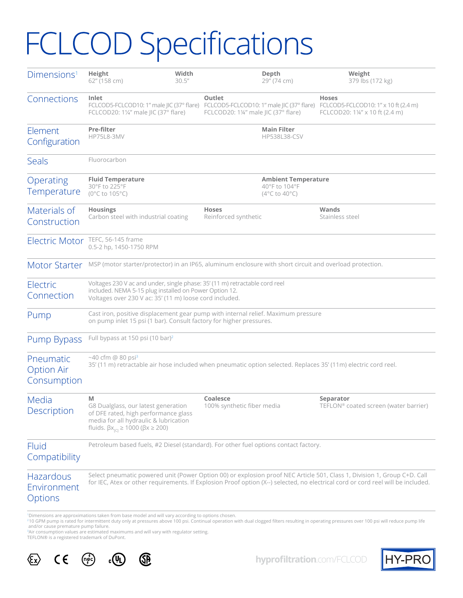# **FCLCOD Specifications**

| Dimensions <sup>1</sup>                       | Height<br>62" (158 cm)                                                                                                                             | Width<br>30.5''                                                                                                                                                                                                                                                                                                                                                                                                                                                                                     |                                                                                           | Depth<br>29" (74 cm)                                                             | Weight<br>379 lbs (172 kg)                                                                                                                                                                                                                                   |  |  |
|-----------------------------------------------|----------------------------------------------------------------------------------------------------------------------------------------------------|-----------------------------------------------------------------------------------------------------------------------------------------------------------------------------------------------------------------------------------------------------------------------------------------------------------------------------------------------------------------------------------------------------------------------------------------------------------------------------------------------------|-------------------------------------------------------------------------------------------|----------------------------------------------------------------------------------|--------------------------------------------------------------------------------------------------------------------------------------------------------------------------------------------------------------------------------------------------------------|--|--|
| Connections                                   | Inlet<br>FCLCOD20: 1¼" male JIC (37° flare)                                                                                                        | FCLCOD5-FCLCOD10: 1" male JIC (37° flare)                                                                                                                                                                                                                                                                                                                                                                                                                                                           | Outlet<br>FCLCOD5-FCLCOD10: 1" male JIC (37° flare)<br>FCLCOD20: 1¼" male JIC (37° flare) |                                                                                  | <b>Hoses</b><br>FCLCOD5-FCLCOD10: 1" x 10 ft (2.4 m)<br>FCLCOD20: 1¼" x 10 ft (2.4 m)                                                                                                                                                                        |  |  |
| Element<br>Configuration                      | <b>Pre-filter</b><br><b>HP75L8-3MV</b>                                                                                                             |                                                                                                                                                                                                                                                                                                                                                                                                                                                                                                     |                                                                                           | <b>Main Filter</b><br><b>HP538L38-CSV</b>                                        |                                                                                                                                                                                                                                                              |  |  |
| Seals                                         | Fluorocarbon                                                                                                                                       |                                                                                                                                                                                                                                                                                                                                                                                                                                                                                                     |                                                                                           |                                                                                  |                                                                                                                                                                                                                                                              |  |  |
| Operating<br>Temperature                      | <b>Fluid Temperature</b><br>30°F to 225°F<br>(0°C to 105°C)                                                                                        |                                                                                                                                                                                                                                                                                                                                                                                                                                                                                                     |                                                                                           | <b>Ambient Temperature</b><br>40°F to 104°F<br>$(4^{\circ}$ C to $40^{\circ}$ C) |                                                                                                                                                                                                                                                              |  |  |
| Materials of<br>Construction                  | <b>Housings</b><br>Carbon steel with industrial coating                                                                                            |                                                                                                                                                                                                                                                                                                                                                                                                                                                                                                     | <b>Hoses</b><br>Reinforced synthetic                                                      |                                                                                  | Wands<br>Stainless steel                                                                                                                                                                                                                                     |  |  |
| <b>Electric Motor</b>                         | TEFC, 56-145 frame                                                                                                                                 |                                                                                                                                                                                                                                                                                                                                                                                                                                                                                                     |                                                                                           |                                                                                  |                                                                                                                                                                                                                                                              |  |  |
| <b>Motor Starter</b>                          |                                                                                                                                                    |                                                                                                                                                                                                                                                                                                                                                                                                                                                                                                     |                                                                                           |                                                                                  |                                                                                                                                                                                                                                                              |  |  |
| Electric<br>Connection                        |                                                                                                                                                    | 0.5-2 hp, 1450-1750 RPM<br>MSP (motor starter/protector) in an IP65, aluminum enclosure with short circuit and overload protection.<br>Voltages 230 V ac and under, single phase: 35' (11 m) retractable cord reel<br>included. NEMA 5-15 plug installed on Power Option 12.<br>Voltages over 230 V ac: 35' (11 m) loose cord included.<br>Cast iron, positive displacement gear pump with internal relief. Maximum pressure<br>on pump inlet 15 psi (1 bar). Consult factory for higher pressures. |                                                                                           |                                                                                  |                                                                                                                                                                                                                                                              |  |  |
| Pump                                          |                                                                                                                                                    |                                                                                                                                                                                                                                                                                                                                                                                                                                                                                                     |                                                                                           |                                                                                  |                                                                                                                                                                                                                                                              |  |  |
| Pump Bypass                                   | Full bypass at 150 psi (10 bar) <sup>2</sup>                                                                                                       |                                                                                                                                                                                                                                                                                                                                                                                                                                                                                                     |                                                                                           |                                                                                  |                                                                                                                                                                                                                                                              |  |  |
| Pneumatic<br><b>Option Air</b><br>Consumption | $-40$ cfm @ 80 psi <sup>3</sup>                                                                                                                    |                                                                                                                                                                                                                                                                                                                                                                                                                                                                                                     |                                                                                           |                                                                                  | 35' (11 m) retractable air hose included when pneumatic option selected. Replaces 35' (11m) electric cord reel.                                                                                                                                              |  |  |
| Media<br>Description                          | M<br>G8 Dualglass, our latest generation<br>media for all hydraulic & lubrication<br>fluids. $\beta x_{\text{ref}} \ge 1000$ ( $\beta x \ge 200$ ) | of DFE rated, high performance glass                                                                                                                                                                                                                                                                                                                                                                                                                                                                | Coalesce<br>100% synthetic fiber media                                                    |                                                                                  | Separator<br>TEFLON® coated screen (water barrier)                                                                                                                                                                                                           |  |  |
| Fluid<br>Compatibility                        |                                                                                                                                                    | Petroleum based fuels, #2 Diesel (standard). For other fuel options contact factory.                                                                                                                                                                                                                                                                                                                                                                                                                |                                                                                           |                                                                                  |                                                                                                                                                                                                                                                              |  |  |
| Hazardous<br>Environment<br>Options           |                                                                                                                                                    |                                                                                                                                                                                                                                                                                                                                                                                                                                                                                                     |                                                                                           |                                                                                  | Select pneumatic powered unit (Power Option 00) or explosion proof NEC Article 501, Class 1, Division 1, Group C+D. Call<br>for IEC, Atex or other requirements. If Explosion Proof option (X--) selected, no electrical cord or cord reel will be included. |  |  |

'Dimensions are approximations taken from base model and will vary according to options chosen.<br>\*10 GPM pump is rated for intermittent duty only at pressures above 100 psi. Continual operation with dual clogged filters res

TEFLON® is a registered trademark of DuPont.





**hyprofiltration**.com/FCLCOD